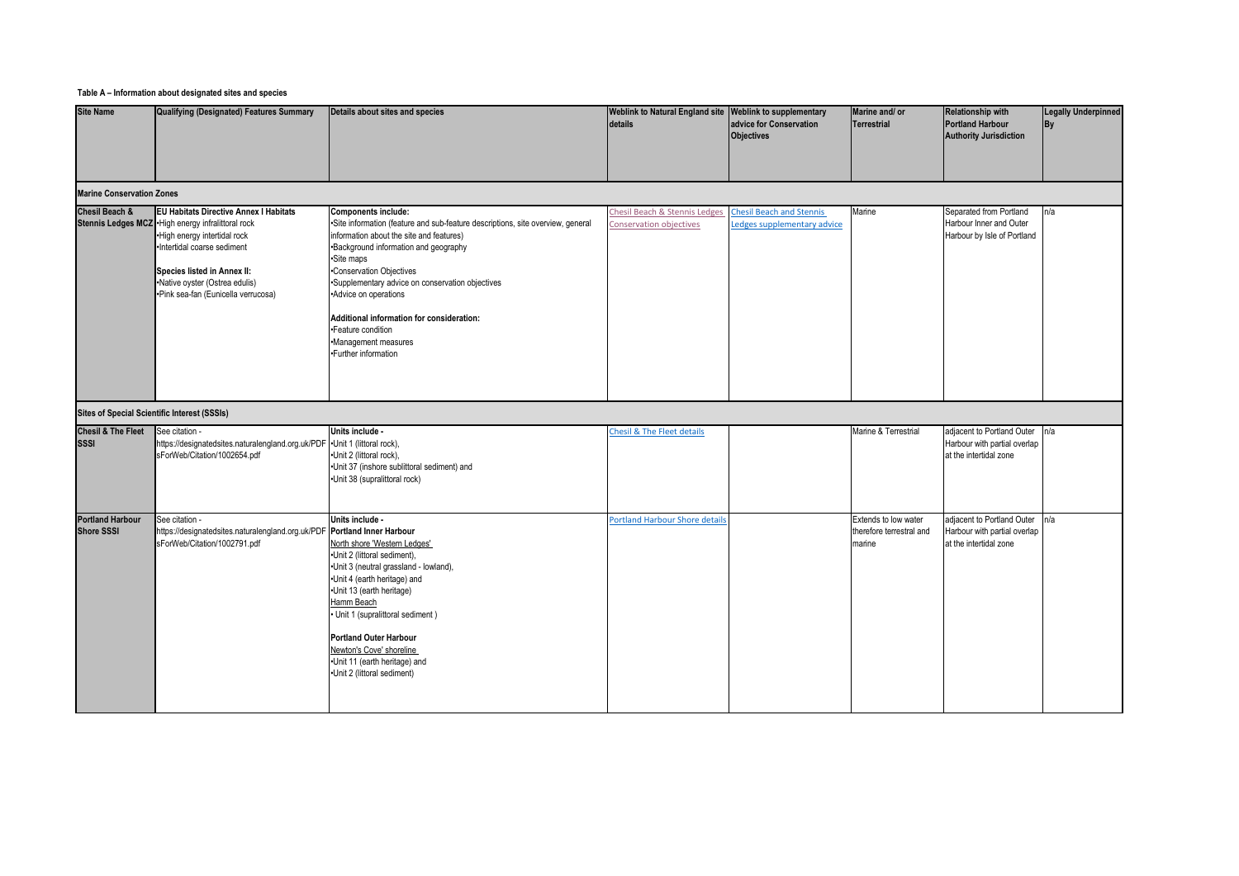## **Table A – Information about designated sites and species**

| <b>Site Name</b>                                    | Qualifying (Designated) Features Summary                                                                                                                                                                                                                                   | Details about sites and species                                                                                                                                                                                                                                                                                                                                                                                                       | Weblink to Natural England site Weblink to supplementary<br>details | advice for Conservation<br><b>Objectives</b>                   | Marine and/ or<br><b>Terrestrial</b>                       | <b>Relationship with</b><br><b>Portland Harbour</b><br><b>Authority Jurisdiction</b> | <b>Legally Underpinned</b><br>By |
|-----------------------------------------------------|----------------------------------------------------------------------------------------------------------------------------------------------------------------------------------------------------------------------------------------------------------------------------|---------------------------------------------------------------------------------------------------------------------------------------------------------------------------------------------------------------------------------------------------------------------------------------------------------------------------------------------------------------------------------------------------------------------------------------|---------------------------------------------------------------------|----------------------------------------------------------------|------------------------------------------------------------|--------------------------------------------------------------------------------------|----------------------------------|
| <b>Marine Conservation Zones</b>                    |                                                                                                                                                                                                                                                                            |                                                                                                                                                                                                                                                                                                                                                                                                                                       |                                                                     |                                                                |                                                            |                                                                                      |                                  |
| Chesil Beach &                                      | <b>EU Habitats Directive Annex I Habitats</b><br>Stennis Ledges MCZ . High energy infralittoral rock<br>•High energy intertidal rock<br>Intertidal coarse sediment<br>Species listed in Annex II:<br>•Native oyster (Ostrea edulis)<br>•Pink sea-fan (Eunicella verrucosa) | Components include:<br>•Site information (feature and sub-feature descriptions, site overview, general<br>information about the site and features)<br>•Background information and geography<br>·Site maps<br>•Conservation Objectives<br>•Supplementary advice on conservation objectives<br>•Advice on operations<br>Additional information for consideration:<br>•Feature condition<br>•Management measures<br>•Further information | Chesil Beach & Stennis Ledges<br><b>Conservation objectives</b>     | <b>Chesil Beach and Stennis</b><br>Ledges supplementary advice | Marine                                                     | Separated from Portland<br>Harbour Inner and Outer<br>Harbour by Isle of Portland    | n/a                              |
| <b>Sites of Special Scientific Interest (SSSIs)</b> |                                                                                                                                                                                                                                                                            |                                                                                                                                                                                                                                                                                                                                                                                                                                       |                                                                     |                                                                |                                                            |                                                                                      |                                  |
| <b>Chesil &amp; The Fleet</b><br><b>SSSI</b>        | See citation -<br>https://designatedsites.naturalengland.org.uk/PDF<br>sForWeb/Citation/1002654.pdf                                                                                                                                                                        | Units include -<br>·Unit 1 (littoral rock),<br>·Unit 2 (littoral rock),<br>.Unit 37 (inshore sublittoral sediment) and<br>•Unit 38 (supralittoral rock)                                                                                                                                                                                                                                                                               | <b>Chesil &amp; The Fleet details</b>                               |                                                                | Marine & Terrestrial                                       | adjacent to Portland Outer<br>Harbour with partial overlap<br>at the intertidal zone | ln/a                             |
| <b>Portland Harbour</b><br><b>Shore SSSI</b>        | See citation -<br>https://designatedsites.naturalengland.org.uk/PDF Portland Inner Harbour<br>sForWeb/Citation/1002791.pdf                                                                                                                                                 | Units include -<br>North shore 'Western Ledges'<br>.Unit 2 (littoral sediment),<br>•Unit 3 (neutral grassland - lowland),<br>.Unit 4 (earth heritage) and<br>·Unit 13 (earth heritage)<br>Hamm Beach<br>• Unit 1 (supralittoral sediment)<br><b>Portland Outer Harbour</b><br>Newton's Cove' shoreline<br>·Unit 11 (earth heritage) and<br>•Unit 2 (littoral sediment)                                                                | Portland Harbour Shore details                                      |                                                                | Extends to low water<br>therefore terrestral and<br>marine | adjacent to Portland Outer<br>Harbour with partial overlap<br>at the intertidal zone | n/a                              |